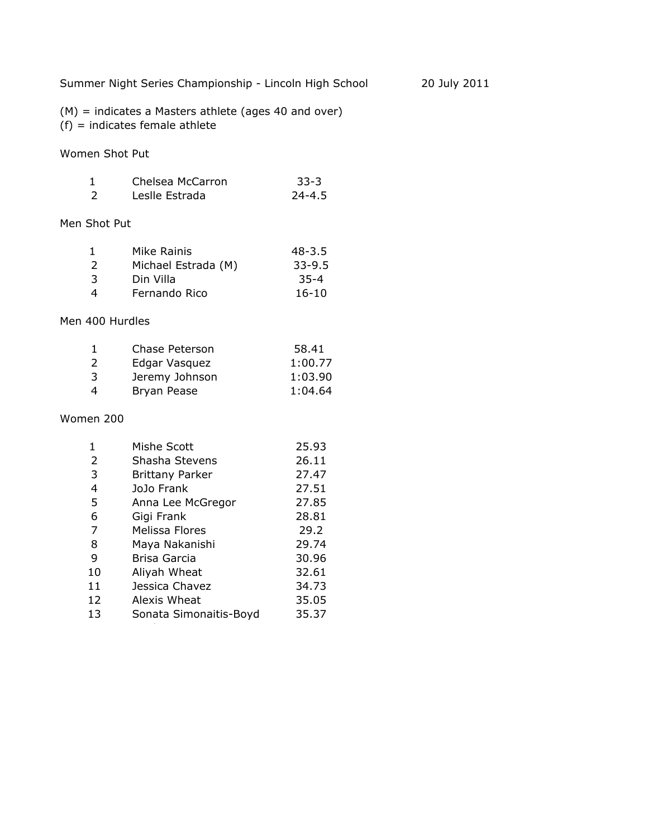Summer Night Series Championship - Lincoln High School 20 July 2011

(M) = indicates a Masters athlete (ages 40 and over)  $(f)$  = indicates female athlete

Women Shot Put

| Chelsea McCarron | $33 - 3$   |
|------------------|------------|
| Leslle Estrada   | $24 - 4.5$ |

## Men Shot Put

| 1                | Mike Rainis         | $48 - 3.5$ |
|------------------|---------------------|------------|
| 2                | Michael Estrada (M) | $33 - 9.5$ |
| 3                | Din Villa           | $35 - 4$   |
| $\boldsymbol{4}$ | Fernando Rico       | $16-10$    |

### Men 400 Hurdles

|               | Chase Peterson | 58.41   |
|---------------|----------------|---------|
| $\mathcal{L}$ | Edgar Vasquez  | 1:00.77 |
| 3             | Jeremy Johnson | 1:03.90 |
| 4             | Bryan Pease    | 1:04.64 |

#### Women 200

| 1  | Mishe Scott            | 25.93 |
|----|------------------------|-------|
| 2  | Shasha Stevens         | 26.11 |
| 3  | <b>Brittany Parker</b> | 27.47 |
| 4  | JoJo Frank             | 27.51 |
| 5  | Anna Lee McGregor      | 27.85 |
| 6  | Gigi Frank             | 28.81 |
| 7  | Melissa Flores         | 29.2  |
| 8  | Maya Nakanishi         | 29.74 |
| 9  | Brisa Garcia           | 30.96 |
| 10 | Aliyah Wheat           | 32.61 |
| 11 | Jessica Chavez         | 34.73 |
| 12 | Alexis Wheat           | 35.05 |
| 13 | Sonata Simonaitis-Boyd | 35.37 |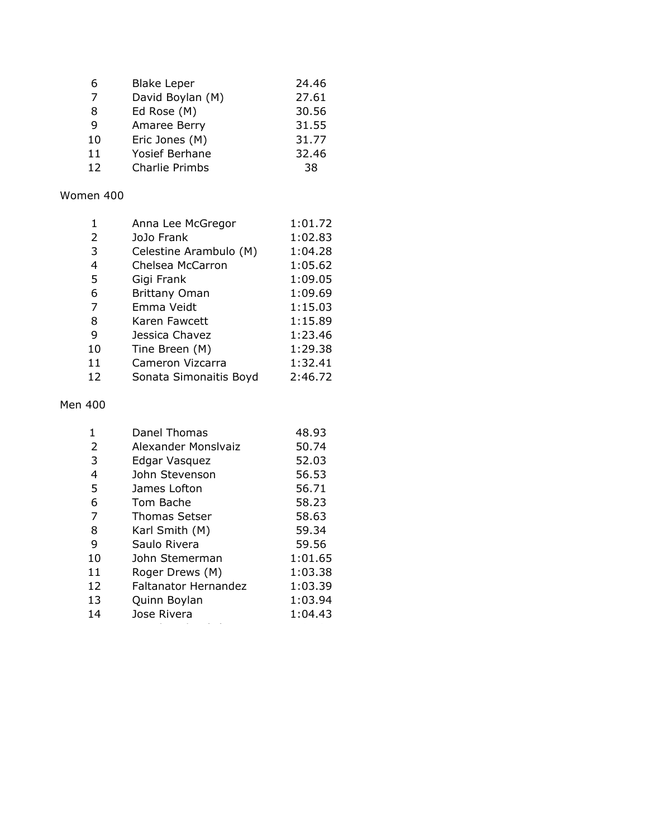| 6  | <b>Blake Leper</b> | 24.46 |
|----|--------------------|-------|
| 7  | David Boylan (M)   | 27.61 |
| 8  | Ed Rose (M)        | 30.56 |
| 9  | Amaree Berry       | 31.55 |
| 10 | Eric Jones (M)     | 31.77 |
| 11 | Yosief Berhane     | 32.46 |
| 12 | Charlie Primbs     | 38    |

## Women 400

|                | Anna Lee McGregor      | 1:01.72 |
|----------------|------------------------|---------|
| $\overline{2}$ | JoJo Frank             | 1:02.83 |
| 3              | Celestine Arambulo (M) | 1:04.28 |
| 4              | Chelsea McCarron       | 1:05.62 |
| 5              | Gigi Frank             | 1:09.05 |
| 6              | <b>Brittany Oman</b>   | 1:09.69 |
| 7              | Emma Veidt             | 1:15.03 |
| 8              | Karen Fawcett          | 1:15.89 |
| 9              | Jessica Chavez         | 1:23.46 |
| 10             | Tine Breen (M)         | 1:29.38 |
| 11             | Cameron Vizcarra       | 1:32.41 |
| 12             | Sonata Simonaitis Boyd | 2:46.72 |

#### Men 400

|                | Danel Thomas                | 48.93   |
|----------------|-----------------------------|---------|
| $\overline{2}$ | Alexander Monslyaiz         | 50.74   |
| 3              | Edgar Vasquez               | 52.03   |
| 4              | John Stevenson              | 56.53   |
| 5              | James Lofton                | 56.71   |
| 6              | Tom Bache                   | 58.23   |
| 7              | <b>Thomas Setser</b>        | 58.63   |
| 8              | Karl Smith (M)              | 59.34   |
| 9              | Saulo Rivera                | 59.56   |
| 10             | John Stemerman              | 1:01.65 |
| 11             | Roger Drews (M)             | 1:03.38 |
| 12             | <b>Faltanator Hernandez</b> | 1:03.39 |
| 13             | Quinn Boylan                | 1:03.94 |
| 14             | Jose Rivera                 | 1:04.43 |
|                |                             |         |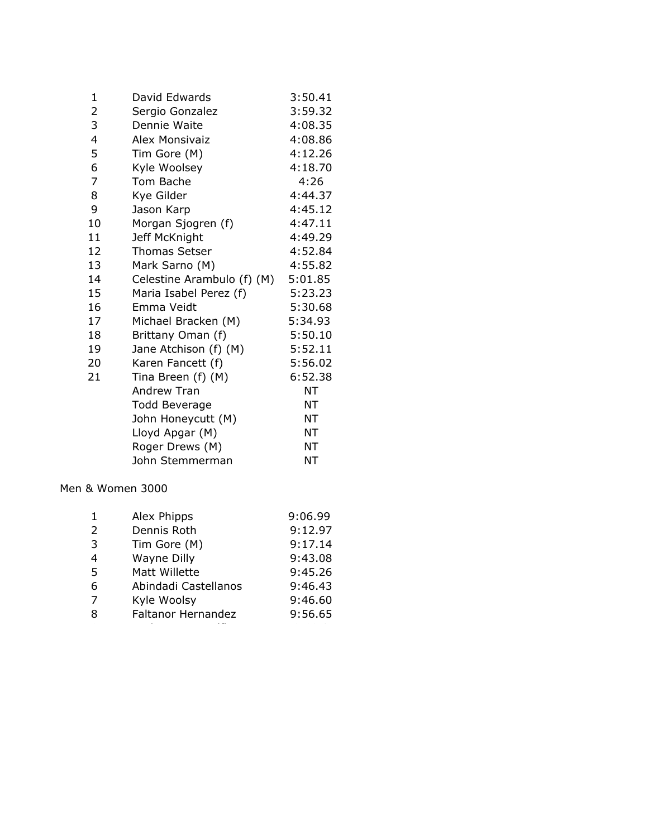| 1              | David Edwards              | 3:50.41 |
|----------------|----------------------------|---------|
| 2              | Sergio Gonzalez            | 3:59.32 |
| 3              | Dennie Waite               | 4:08.35 |
| 4              | Alex Monsivaiz             | 4:08.86 |
| 5              | Tim Gore (M)               | 4:12.26 |
| 6              | Kyle Woolsey               | 4:18.70 |
| $\overline{7}$ | Tom Bache                  | 4:26    |
| 8              | Kye Gilder                 | 4:44.37 |
| 9              | Jason Karp                 | 4:45.12 |
| 10             | Morgan Sjogren (f)         | 4:47.11 |
| 11             | Jeff McKnight              | 4:49.29 |
| 12             | <b>Thomas Setser</b>       | 4:52.84 |
| 13             | Mark Sarno (M)             | 4:55.82 |
| 14             | Celestine Arambulo (f) (M) | 5:01.85 |
| 15             | Maria Isabel Perez (f)     | 5:23.23 |
| 16             | Emma Veidt                 | 5:30.68 |
| 17             | Michael Bracken (M)        | 5:34.93 |
| 18             | Brittany Oman (f)          | 5:50.10 |
| 19             | Jane Atchison (f) (M)      | 5:52.11 |
| 20             | Karen Fancett (f)          | 5:56.02 |
| 21             | Tina Breen (f) (M)         | 6:52.38 |
|                | Andrew Tran                | NT      |
|                | <b>Todd Beverage</b>       | ΝT      |
|                | John Honeycutt (M)         | NT      |
|                | Lloyd Apgar (M)            | NT      |
|                | Roger Drews (M)            | ΝT      |
|                | John Stemmerman            | ΝT      |

Men & Women 3000

| 1              | Alex Phipps          | 9:06.99 |
|----------------|----------------------|---------|
| 2              | Dennis Roth          | 9:12.97 |
| 3              | Tim Gore (M)         | 9:17.14 |
| $\overline{4}$ | Wayne Dilly          | 9:43.08 |
| 5              | Matt Willette        | 9:45.26 |
| 6              | Abindadi Castellanos | 9:46.43 |
| 7              | Kyle Woolsy          | 9:46.60 |
| 8              | Faltanor Hernandez   | 9:56.65 |